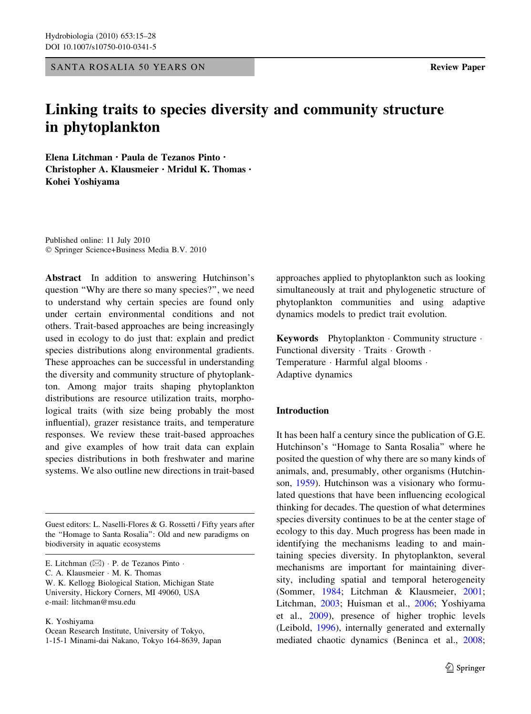SANTA ROSALIA 50 YEARS ON Review Paper

# Linking traits to species diversity and community structure in phytoplankton

Elena Litchman • Paula de Tezanos Pinto • Christopher A. Klausmeier • Mridul K. Thomas • Kohei Yoshiyama

Published online: 11 July 2010 © Springer Science+Business Media B.V. 2010

Abstract In addition to answering Hutchinson's question ''Why are there so many species?'', we need to understand why certain species are found only under certain environmental conditions and not others. Trait-based approaches are being increasingly used in ecology to do just that: explain and predict species distributions along environmental gradients. These approaches can be successful in understanding the diversity and community structure of phytoplankton. Among major traits shaping phytoplankton distributions are resource utilization traits, morphological traits (with size being probably the most influential), grazer resistance traits, and temperature responses. We review these trait-based approaches and give examples of how trait data can explain species distributions in both freshwater and marine systems. We also outline new directions in trait-based

Guest editors: L. Naselli-Flores & G. Rossetti / Fifty years after the ''Homage to Santa Rosalia'': Old and new paradigms on biodiversity in aquatic ecosystems

E. Litchman  $(\boxtimes) \cdot P$ . de Tezanos Pinto  $\cdot$ 

C. A. Klausmeier - M. K. Thomas

W. K. Kellogg Biological Station, Michigan State University, Hickory Corners, MI 49060, USA e-mail: litchman@msu.edu

K. Yoshiyama

Ocean Research Institute, University of Tokyo, 1-15-1 Minami-dai Nakano, Tokyo 164-8639, Japan approaches applied to phytoplankton such as looking simultaneously at trait and phylogenetic structure of phytoplankton communities and using adaptive dynamics models to predict trait evolution.

Keywords Phytoplankton · Community structure · Functional diversity · Traits · Growth · Temperature - Harmful algal blooms - Adaptive dynamics

## Introduction

It has been half a century since the publication of G.E. Hutchinson's ''Homage to Santa Rosalia'' where he posited the question of why there are so many kinds of animals, and, presumably, other organisms (Hutchinson, [1959\)](#page-10-0). Hutchinson was a visionary who formulated questions that have been influencing ecological thinking for decades. The question of what determines species diversity continues to be at the center stage of ecology to this day. Much progress has been made in identifying the mechanisms leading to and maintaining species diversity. In phytoplankton, several mechanisms are important for maintaining diversity, including spatial and temporal heterogeneity (Sommer, [1984;](#page-12-0) Litchman & Klausmeier, [2001](#page-11-0); Litchman, [2003](#page-11-0); Huisman et al., [2006](#page-10-0); Yoshiyama et al., [2009\)](#page-12-0), presence of higher trophic levels (Leibold, [1996\)](#page-11-0), internally generated and externally mediated chaotic dynamics (Beninca et al., [2008](#page-9-0);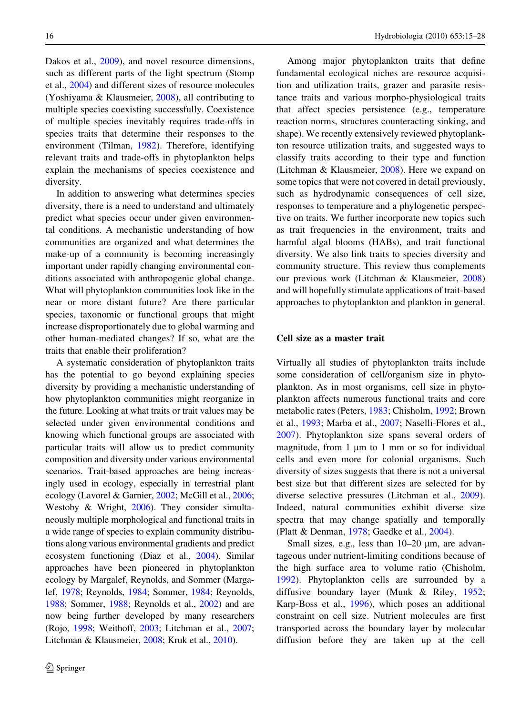Dakos et al., [2009\)](#page-10-0), and novel resource dimensions, such as different parts of the light spectrum (Stomp et al., [2004\)](#page-12-0) and different sizes of resource molecules (Yoshiyama & Klausmeier, [2008\)](#page-12-0), all contributing to multiple species coexisting successfully. Coexistence of multiple species inevitably requires trade-offs in species traits that determine their responses to the environment (Tilman, [1982](#page-12-0)). Therefore, identifying relevant traits and trade-offs in phytoplankton helps explain the mechanisms of species coexistence and diversity.

In addition to answering what determines species diversity, there is a need to understand and ultimately predict what species occur under given environmental conditions. A mechanistic understanding of how communities are organized and what determines the make-up of a community is becoming increasingly important under rapidly changing environmental conditions associated with anthropogenic global change. What will phytoplankton communities look like in the near or more distant future? Are there particular species, taxonomic or functional groups that might increase disproportionately due to global warming and other human-mediated changes? If so, what are the traits that enable their proliferation?

A systematic consideration of phytoplankton traits has the potential to go beyond explaining species diversity by providing a mechanistic understanding of how phytoplankton communities might reorganize in the future. Looking at what traits or trait values may be selected under given environmental conditions and knowing which functional groups are associated with particular traits will allow us to predict community composition and diversity under various environmental scenarios. Trait-based approaches are being increasingly used in ecology, especially in terrestrial plant ecology (Lavorel & Garnier, [2002](#page-10-0); McGill et al., [2006](#page-11-0); Westoby & Wright, [2006](#page-12-0)). They consider simultaneously multiple morphological and functional traits in a wide range of species to explain community distributions along various environmental gradients and predict ecosystem functioning (Diaz et al., [2004\)](#page-10-0). Similar approaches have been pioneered in phytoplankton ecology by Margalef, Reynolds, and Sommer (Margalef, [1978;](#page-11-0) Reynolds, [1984](#page-11-0); Sommer, [1984](#page-12-0); Reynolds, [1988](#page-12-0); Sommer, [1988;](#page-12-0) Reynolds et al., [2002](#page-12-0)) and are now being further developed by many researchers (Rojo, [1998](#page-12-0); Weithoff, [2003;](#page-12-0) Litchman et al., [2007](#page-11-0); Litchman & Klausmeier, [2008](#page-11-0); Kruk et al., [2010](#page-10-0)).

Among major phytoplankton traits that define fundamental ecological niches are resource acquisition and utilization traits, grazer and parasite resistance traits and various morpho-physiological traits that affect species persistence (e.g., temperature reaction norms, structures counteracting sinking, and shape). We recently extensively reviewed phytoplankton resource utilization traits, and suggested ways to classify traits according to their type and function (Litchman & Klausmeier, [2008](#page-11-0)). Here we expand on some topics that were not covered in detail previously, such as hydrodynamic consequences of cell size, responses to temperature and a phylogenetic perspective on traits. We further incorporate new topics such as trait frequencies in the environment, traits and harmful algal blooms (HABs), and trait functional diversity. We also link traits to species diversity and community structure. This review thus complements our previous work (Litchman & Klausmeier, [2008\)](#page-11-0) and will hopefully stimulate applications of trait-based approaches to phytoplankton and plankton in general.

### Cell size as a master trait

Virtually all studies of phytoplankton traits include some consideration of cell/organism size in phytoplankton. As in most organisms, cell size in phytoplankton affects numerous functional traits and core metabolic rates (Peters, [1983;](#page-11-0) Chisholm, [1992](#page-10-0); Brown et al., [1993;](#page-9-0) Marba et al., [2007;](#page-11-0) Naselli-Flores et al., [2007\)](#page-11-0). Phytoplankton size spans several orders of magnitude, from  $1 \mu m$  to  $1 \mu m$  or so for individual cells and even more for colonial organisms. Such diversity of sizes suggests that there is not a universal best size but that different sizes are selected for by diverse selective pressures (Litchman et al., [2009](#page-11-0)). Indeed, natural communities exhibit diverse size spectra that may change spatially and temporally (Platt & Denman, [1978;](#page-11-0) Gaedke et al., [2004\)](#page-10-0).

Small sizes, e.g., less than  $10-20 \mu m$ , are advantageous under nutrient-limiting conditions because of the high surface area to volume ratio (Chisholm, [1992\)](#page-10-0). Phytoplankton cells are surrounded by a diffusive boundary layer (Munk & Riley, [1952](#page-11-0); Karp-Boss et al., [1996](#page-10-0)), which poses an additional constraint on cell size. Nutrient molecules are first transported across the boundary layer by molecular diffusion before they are taken up at the cell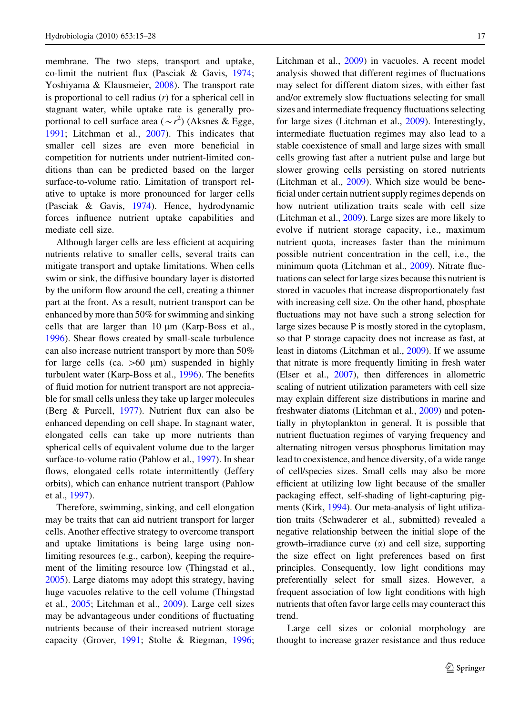membrane. The two steps, transport and uptake, co-limit the nutrient flux (Pasciak & Gavis, [1974](#page-11-0); Yoshiyama & Klausmeier, [2008](#page-12-0)). The transport rate is proportional to cell radius  $(r)$  for a spherical cell in stagnant water, while uptake rate is generally proportional to cell surface area ( $\sim r^2$ ) (Aksnes & Egge, [1991;](#page-9-0) Litchman et al., [2007\)](#page-11-0). This indicates that smaller cell sizes are even more beneficial in competition for nutrients under nutrient-limited conditions than can be predicted based on the larger surface-to-volume ratio. Limitation of transport relative to uptake is more pronounced for larger cells (Pasciak & Gavis, [1974\)](#page-11-0). Hence, hydrodynamic forces influence nutrient uptake capabilities and mediate cell size.

Although larger cells are less efficient at acquiring nutrients relative to smaller cells, several traits can mitigate transport and uptake limitations. When cells swim or sink, the diffusive boundary layer is distorted by the uniform flow around the cell, creating a thinner part at the front. As a result, nutrient transport can be enhanced by more than 50% for swimming and sinking cells that are larger than  $10 \mu m$  (Karp-Boss et al., [1996\)](#page-10-0). Shear flows created by small-scale turbulence can also increase nutrient transport by more than 50% for large cells (ca.  $>60 \mu m$ ) suspended in highly turbulent water (Karp-Boss et al., [1996](#page-10-0)). The benefits of fluid motion for nutrient transport are not appreciable for small cells unless they take up larger molecules (Berg & Purcell, [1977](#page-9-0)). Nutrient flux can also be enhanced depending on cell shape. In stagnant water, elongated cells can take up more nutrients than spherical cells of equivalent volume due to the larger surface-to-volume ratio (Pahlow et al., [1997\)](#page-11-0). In shear flows, elongated cells rotate intermittently (Jeffery orbits), which can enhance nutrient transport (Pahlow et al., [1997\)](#page-11-0).

Therefore, swimming, sinking, and cell elongation may be traits that can aid nutrient transport for larger cells. Another effective strategy to overcome transport and uptake limitations is being large using nonlimiting resources (e.g., carbon), keeping the requirement of the limiting resource low (Thingstad et al., [2005\)](#page-12-0). Large diatoms may adopt this strategy, having huge vacuoles relative to the cell volume (Thingstad et al., [2005](#page-12-0); Litchman et al., [2009](#page-11-0)). Large cell sizes may be advantageous under conditions of fluctuating nutrients because of their increased nutrient storage capacity (Grover, [1991](#page-10-0); Stolte & Riegman, [1996](#page-12-0); Litchman et al., [2009\)](#page-11-0) in vacuoles. A recent model analysis showed that different regimes of fluctuations may select for different diatom sizes, with either fast and/or extremely slow fluctuations selecting for small sizes and intermediate frequency fluctuations selecting for large sizes (Litchman et al., [2009\)](#page-11-0). Interestingly, intermediate fluctuation regimes may also lead to a stable coexistence of small and large sizes with small cells growing fast after a nutrient pulse and large but slower growing cells persisting on stored nutrients (Litchman et al., [2009](#page-11-0)). Which size would be beneficial under certain nutrient supply regimes depends on how nutrient utilization traits scale with cell size (Litchman et al., [2009](#page-11-0)). Large sizes are more likely to evolve if nutrient storage capacity, i.e., maximum nutrient quota, increases faster than the minimum possible nutrient concentration in the cell, i.e., the minimum quota (Litchman et al., [2009](#page-11-0)). Nitrate fluctuations can select for large sizes because this nutrient is stored in vacuoles that increase disproportionately fast with increasing cell size. On the other hand, phosphate fluctuations may not have such a strong selection for large sizes because P is mostly stored in the cytoplasm, so that P storage capacity does not increase as fast, at least in diatoms (Litchman et al., [2009\)](#page-11-0). If we assume that nitrate is more frequently limiting in fresh water (Elser et al., [2007\)](#page-10-0), then differences in allometric scaling of nutrient utilization parameters with cell size may explain different size distributions in marine and freshwater diatoms (Litchman et al., [2009\)](#page-11-0) and potentially in phytoplankton in general. It is possible that nutrient fluctuation regimes of varying frequency and alternating nitrogen versus phosphorus limitation may lead to coexistence, and hence diversity, of a wide range of cell/species sizes. Small cells may also be more efficient at utilizing low light because of the smaller packaging effect, self-shading of light-capturing pigments (Kirk, [1994](#page-10-0)). Our meta-analysis of light utilization traits (Schwaderer et al., submitted) revealed a negative relationship between the initial slope of the growth–irradiance curve  $(\alpha)$  and cell size, supporting the size effect on light preferences based on first principles. Consequently, low light conditions may preferentially select for small sizes. However, a frequent association of low light conditions with high nutrients that often favor large cells may counteract this trend.

Large cell sizes or colonial morphology are thought to increase grazer resistance and thus reduce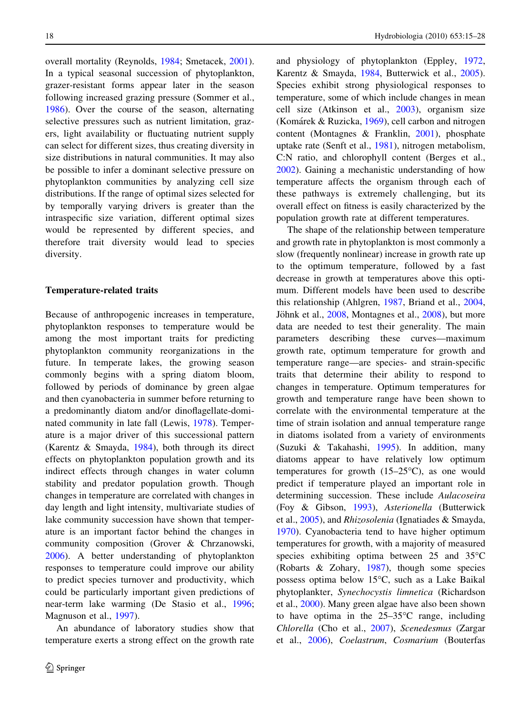overall mortality (Reynolds, [1984](#page-11-0); Smetacek, [2001](#page-12-0)). In a typical seasonal succession of phytoplankton, grazer-resistant forms appear later in the season following increased grazing pressure (Sommer et al., [1986\)](#page-12-0). Over the course of the season, alternating selective pressures such as nutrient limitation, grazers, light availability or fluctuating nutrient supply can select for different sizes, thus creating diversity in size distributions in natural communities. It may also be possible to infer a dominant selective pressure on phytoplankton communities by analyzing cell size distributions. If the range of optimal sizes selected for by temporally varying drivers is greater than the intraspecific size variation, different optimal sizes would be represented by different species, and therefore trait diversity would lead to species diversity.

#### Temperature-related traits

Because of anthropogenic increases in temperature, phytoplankton responses to temperature would be among the most important traits for predicting phytoplankton community reorganizations in the future. In temperate lakes, the growing season commonly begins with a spring diatom bloom, followed by periods of dominance by green algae and then cyanobacteria in summer before returning to a predominantly diatom and/or dinoflagellate-dominated community in late fall (Lewis, [1978\)](#page-11-0). Temperature is a major driver of this successional pattern (Karentz & Smayda, [1984\)](#page-10-0), both through its direct effects on phytoplankton population growth and its indirect effects through changes in water column stability and predator population growth. Though changes in temperature are correlated with changes in day length and light intensity, multivariate studies of lake community succession have shown that temperature is an important factor behind the changes in community composition (Grover & Chrzanowski, [2006\)](#page-10-0). A better understanding of phytoplankton responses to temperature could improve our ability to predict species turnover and productivity, which could be particularly important given predictions of near-term lake warming (De Stasio et al., [1996](#page-10-0); Magnuson et al., [1997](#page-11-0)).

An abundance of laboratory studies show that temperature exerts a strong effect on the growth rate

and physiology of phytoplankton (Eppley, [1972,](#page-10-0) Karentz & Smayda, [1984](#page-10-0), Butterwick et al., [2005](#page-9-0)). Species exhibit strong physiological responses to temperature, some of which include changes in mean cell size (Atkinson et al., [2003](#page-9-0)), organism size (Koma´rek & Ruzicka, [1969\)](#page-10-0), cell carbon and nitrogen content (Montagnes & Franklin, [2001](#page-11-0)), phosphate uptake rate (Senft et al., [1981\)](#page-12-0), nitrogen metabolism, C:N ratio, and chlorophyll content (Berges et al., [2002\)](#page-9-0). Gaining a mechanistic understanding of how temperature affects the organism through each of these pathways is extremely challenging, but its overall effect on fitness is easily characterized by the population growth rate at different temperatures.

The shape of the relationship between temperature and growth rate in phytoplankton is most commonly a slow (frequently nonlinear) increase in growth rate up to the optimum temperature, followed by a fast decrease in growth at temperatures above this optimum. Different models have been used to describe this relationship (Ahlgren, [1987](#page-9-0), Briand et al., [2004,](#page-9-0) Jöhnk et al., [2008](#page-11-0), Montagnes et al., 2008), but more data are needed to test their generality. The main parameters describing these curves—maximum growth rate, optimum temperature for growth and temperature range—are species- and strain-specific traits that determine their ability to respond to changes in temperature. Optimum temperatures for growth and temperature range have been shown to correlate with the environmental temperature at the time of strain isolation and annual temperature range in diatoms isolated from a variety of environments (Suzuki & Takahashi, [1995\)](#page-12-0). In addition, many diatoms appear to have relatively low optimum temperatures for growth  $(15-25^{\circ}\text{C})$ , as one would predict if temperature played an important role in determining succession. These include Aulacoseira (Foy & Gibson, [1993\)](#page-10-0), Asterionella (Butterwick et al., [2005](#page-9-0)), and Rhizosolenia (Ignatiades & Smayda, [1970\)](#page-10-0). Cyanobacteria tend to have higher optimum temperatures for growth, with a majority of measured species exhibiting optima between  $25$  and  $35^{\circ}$ C (Robarts & Zohary, [1987\)](#page-12-0), though some species possess optima below 15°C, such as a Lake Baikal phytoplankter, Synechocystis limnetica (Richardson et al., [2000\)](#page-12-0). Many green algae have also been shown to have optima in the  $25-35$ °C range, including Chlorella (Cho et al., [2007](#page-10-0)), Scenedesmus (Zargar et al., [2006](#page-12-0)), Coelastrum, Cosmarium (Bouterfas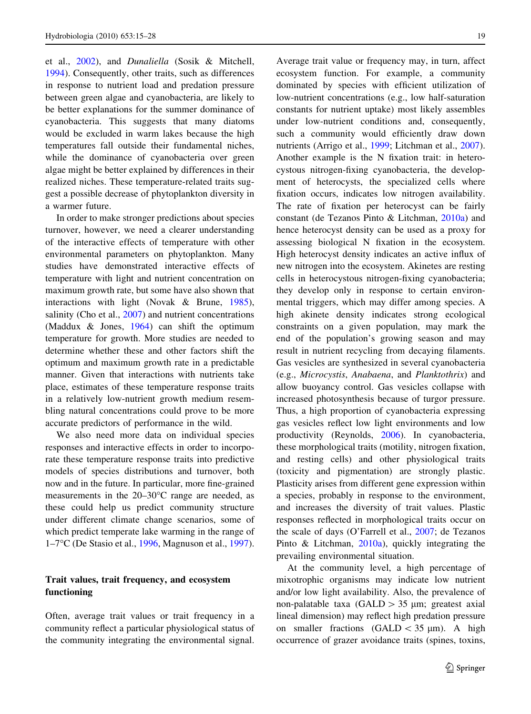et al., [2002\)](#page-9-0), and Dunaliella (Sosik & Mitchell, [1994\)](#page-12-0). Consequently, other traits, such as differences in response to nutrient load and predation pressure between green algae and cyanobacteria, are likely to be better explanations for the summer dominance of cyanobacteria. This suggests that many diatoms would be excluded in warm lakes because the high temperatures fall outside their fundamental niches, while the dominance of cyanobacteria over green algae might be better explained by differences in their realized niches. These temperature-related traits suggest a possible decrease of phytoplankton diversity in a warmer future.

In order to make stronger predictions about species turnover, however, we need a clearer understanding of the interactive effects of temperature with other environmental parameters on phytoplankton. Many studies have demonstrated interactive effects of temperature with light and nutrient concentration on maximum growth rate, but some have also shown that interactions with light (Novak & Brune, [1985](#page-11-0)), salinity (Cho et al., [2007\)](#page-10-0) and nutrient concentrations (Maddux  $& Jones, 1964$  $& Jones, 1964$ ) can shift the optimum temperature for growth. More studies are needed to determine whether these and other factors shift the optimum and maximum growth rate in a predictable manner. Given that interactions with nutrients take place, estimates of these temperature response traits in a relatively low-nutrient growth medium resembling natural concentrations could prove to be more accurate predictors of performance in the wild.

We also need more data on individual species responses and interactive effects in order to incorporate these temperature response traits into predictive models of species distributions and turnover, both now and in the future. In particular, more fine-grained measurements in the  $20-30$ °C range are needed, as these could help us predict community structure under different climate change scenarios, some of which predict temperate lake warming in the range of 1–7C (De Stasio et al., [1996,](#page-10-0) Magnuson et al., [1997](#page-11-0)).

# Trait values, trait frequency, and ecosystem functioning

Often, average trait values or trait frequency in a community reflect a particular physiological status of the community integrating the environmental signal.

Average trait value or frequency may, in turn, affect ecosystem function. For example, a community dominated by species with efficient utilization of low-nutrient concentrations (e.g., low half-saturation constants for nutrient uptake) most likely assembles under low-nutrient conditions and, consequently, such a community would efficiently draw down nutrients (Arrigo et al., [1999;](#page-9-0) Litchman et al., [2007](#page-11-0)). Another example is the N fixation trait: in heterocystous nitrogen-fixing cyanobacteria, the development of heterocysts, the specialized cells where fixation occurs, indicates low nitrogen availability. The rate of fixation per heterocyst can be fairly constant (de Tezanos Pinto & Litchman, [2010a](#page-10-0)) and hence heterocyst density can be used as a proxy for assessing biological N fixation in the ecosystem. High heterocyst density indicates an active influx of new nitrogen into the ecosystem. Akinetes are resting cells in heterocystous nitrogen-fixing cyanobacteria; they develop only in response to certain environmental triggers, which may differ among species. A high akinete density indicates strong ecological constraints on a given population, may mark the end of the population's growing season and may result in nutrient recycling from decaying filaments. Gas vesicles are synthesized in several cyanobacteria (e.g., Microcystis, Anabaena, and Planktothrix) and allow buoyancy control. Gas vesicles collapse with increased photosynthesis because of turgor pressure. Thus, a high proportion of cyanobacteria expressing gas vesicles reflect low light environments and low productivity (Reynolds, [2006\)](#page-12-0). In cyanobacteria, these morphological traits (motility, nitrogen fixation, and resting cells) and other physiological traits (toxicity and pigmentation) are strongly plastic. Plasticity arises from different gene expression within a species, probably in response to the environment, and increases the diversity of trait values. Plastic responses reflected in morphological traits occur on the scale of days (O'Farrell et al., [2007;](#page-11-0) de Tezanos Pinto & Litchman, [2010a\)](#page-10-0), quickly integrating the prevailing environmental situation.

At the community level, a high percentage of mixotrophic organisms may indicate low nutrient and/or low light availability. Also, the prevalence of non-palatable taxa (GALD  $> 35 \mu m$ ; greatest axial lineal dimension) may reflect high predation pressure on smaller fractions (GALD  $\lt$  35  $\mu$ m). A high occurrence of grazer avoidance traits (spines, toxins,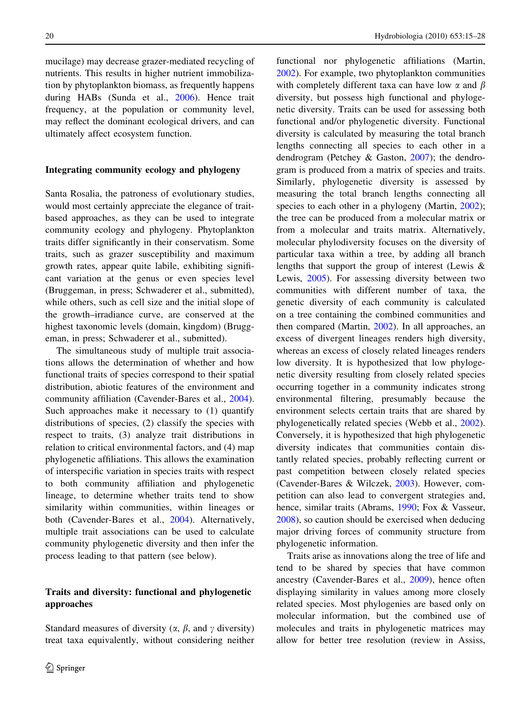mucilage) may decrease grazer-mediated recycling of nutrients. This results in higher nutrient immobilization by phytoplankton biomass, as frequently happens during HABs (Sunda et al., [2006\)](#page-12-0). Hence trait frequency, at the population or community level, may reflect the dominant ecological drivers, and can ultimately affect ecosystem function.

## Integrating community ecology and phylogeny

Santa Rosalia, the patroness of evolutionary studies, would most certainly appreciate the elegance of traitbased approaches, as they can be used to integrate community ecology and phylogeny. Phytoplankton traits differ significantly in their conservatism. Some traits, such as grazer susceptibility and maximum growth rates, appear quite labile, exhibiting significant variation at the genus or even species level (Bruggeman, in press; Schwaderer et al., submitted), while others, such as cell size and the initial slope of the growth–irradiance curve, are conserved at the highest taxonomic levels (domain, kingdom) (Bruggeman, in press; Schwaderer et al., submitted).

The simultaneous study of multiple trait associations allows the determination of whether and how functional traits of species correspond to their spatial distribution, abiotic features of the environment and community affiliation (Cavender-Bares et al., [2004](#page-10-0)). Such approaches make it necessary to (1) quantify distributions of species, (2) classify the species with respect to traits, (3) analyze trait distributions in relation to critical environmental factors, and (4) map phylogenetic affiliations. This allows the examination of interspecific variation in species traits with respect to both community affiliation and phylogenetic lineage, to determine whether traits tend to show similarity within communities, within lineages or both (Cavender-Bares et al., [2004](#page-10-0)). Alternatively, multiple trait associations can be used to calculate community phylogenetic diversity and then infer the process leading to that pattern (see below).

# Traits and diversity: functional and phylogenetic approaches

Standard measures of diversity ( $\alpha$ ,  $\beta$ , and  $\gamma$  diversity) treat taxa equivalently, without considering neither functional nor phylogenetic affiliations (Martin, [2002\)](#page-11-0). For example, two phytoplankton communities with completely different taxa can have low  $\alpha$  and  $\beta$ diversity, but possess high functional and phylogenetic diversity. Traits can be used for assessing both functional and/or phylogenetic diversity. Functional diversity is calculated by measuring the total branch lengths connecting all species to each other in a dendrogram (Petchey & Gaston, [2007\)](#page-11-0); the dendrogram is produced from a matrix of species and traits. Similarly, phylogenetic diversity is assessed by measuring the total branch lengths connecting all species to each other in a phylogeny (Martin, [2002](#page-11-0)); the tree can be produced from a molecular matrix or from a molecular and traits matrix. Alternatively, molecular phylodiversity focuses on the diversity of particular taxa within a tree, by adding all branch lengths that support the group of interest (Lewis & Lewis, [2005\)](#page-11-0). For assessing diversity between two communities with different number of taxa, the genetic diversity of each community is calculated on a tree containing the combined communities and then compared (Martin, [2002](#page-11-0)). In all approaches, an excess of divergent lineages renders high diversity, whereas an excess of closely related lineages renders low diversity. It is hypothesized that low phylogenetic diversity resulting from closely related species occurring together in a community indicates strong environmental filtering, presumably because the environment selects certain traits that are shared by phylogenetically related species (Webb et al., [2002](#page-12-0)). Conversely, it is hypothesized that high phylogenetic diversity indicates that communities contain distantly related species, probably reflecting current or past competition between closely related species (Cavender-Bares & Wilczek, [2003](#page-9-0)). However, competition can also lead to convergent strategies and, hence, similar traits (Abrams, [1990;](#page-9-0) Fox & Vasseur, [2008\)](#page-10-0), so caution should be exercised when deducing major driving forces of community structure from phylogenetic information.

Traits arise as innovations along the tree of life and tend to be shared by species that have common ancestry (Cavender-Bares et al., [2009](#page-10-0)), hence often displaying similarity in values among more closely related species. Most phylogenies are based only on molecular information, but the combined use of molecules and traits in phylogenetic matrices may allow for better tree resolution (review in Assiss,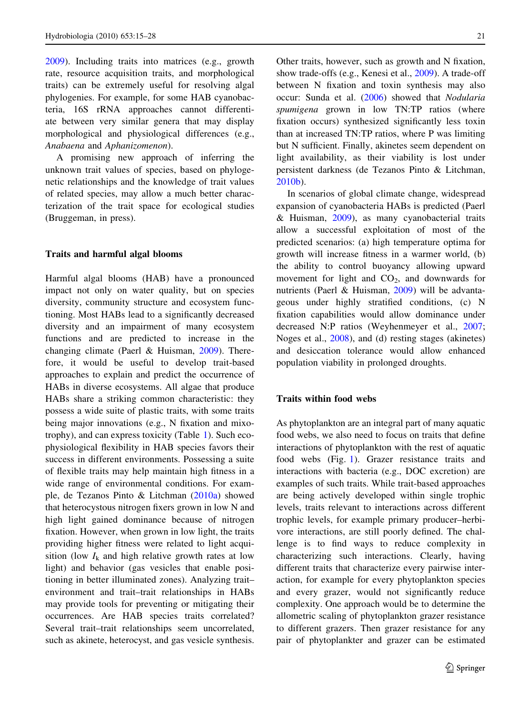[2009\)](#page-9-0). Including traits into matrices (e.g., growth rate, resource acquisition traits, and morphological traits) can be extremely useful for resolving algal phylogenies. For example, for some HAB cyanobacteria, 16S rRNA approaches cannot differentiate between very similar genera that may display morphological and physiological differences (e.g., Anabaena and Aphanizomenon).

A promising new approach of inferring the unknown trait values of species, based on phylogenetic relationships and the knowledge of trait values of related species, may allow a much better characterization of the trait space for ecological studies (Bruggeman, in press).

#### Traits and harmful algal blooms

Harmful algal blooms (HAB) have a pronounced impact not only on water quality, but on species diversity, community structure and ecosystem functioning. Most HABs lead to a significantly decreased diversity and an impairment of many ecosystem functions and are predicted to increase in the changing climate (Paerl & Huisman, [2009](#page-11-0)). Therefore, it would be useful to develop trait-based approaches to explain and predict the occurrence of HABs in diverse ecosystems. All algae that produce HABs share a striking common characteristic: they possess a wide suite of plastic traits, with some traits being major innovations (e.g., N fixation and mixotrophy), and can express toxicity (Table [1](#page-7-0)). Such ecophysiological flexibility in HAB species favors their success in different environments. Possessing a suite of flexible traits may help maintain high fitness in a wide range of environmental conditions. For example, de Tezanos Pinto & Litchman ([2010a](#page-10-0)) showed that heterocystous nitrogen fixers grown in low N and high light gained dominance because of nitrogen fixation. However, when grown in low light, the traits providing higher fitness were related to light acquisition (low  $I_k$  and high relative growth rates at low light) and behavior (gas vesicles that enable positioning in better illuminated zones). Analyzing trait– environment and trait–trait relationships in HABs may provide tools for preventing or mitigating their occurrences. Are HAB species traits correlated? Several trait–trait relationships seem uncorrelated, such as akinete, heterocyst, and gas vesicle synthesis.

Other traits, however, such as growth and N fixation, show trade-offs (e.g., Kenesi et al., [2009](#page-10-0)). A trade-off between N fixation and toxin synthesis may also occur: Sunda et al. [\(2006](#page-12-0)) showed that Nodularia spumigena grown in low TN:TP ratios (where fixation occurs) synthesized significantly less toxin than at increased TN:TP ratios, where P was limiting but N sufficient. Finally, akinetes seem dependent on light availability, as their viability is lost under persistent darkness (de Tezanos Pinto & Litchman, [2010b\)](#page-10-0).

In scenarios of global climate change, widespread expansion of cyanobacteria HABs is predicted (Paerl & Huisman, [2009\)](#page-11-0), as many cyanobacterial traits allow a successful exploitation of most of the predicted scenarios: (a) high temperature optima for growth will increase fitness in a warmer world, (b) the ability to control buoyancy allowing upward movement for light and  $CO<sub>2</sub>$ , and downwards for nutrients (Paerl & Huisman, [2009\)](#page-11-0) will be advantageous under highly stratified conditions, (c) N fixation capabilities would allow dominance under decreased N:P ratios (Weyhenmeyer et al., [2007](#page-12-0); Noges et al., [2008](#page-11-0)), and (d) resting stages (akinetes) and desiccation tolerance would allow enhanced population viability in prolonged droughts.

## Traits within food webs

As phytoplankton are an integral part of many aquatic food webs, we also need to focus on traits that define interactions of phytoplankton with the rest of aquatic food webs (Fig. [1](#page-8-0)). Grazer resistance traits and interactions with bacteria (e.g., DOC excretion) are examples of such traits. While trait-based approaches are being actively developed within single trophic levels, traits relevant to interactions across different trophic levels, for example primary producer–herbivore interactions, are still poorly defined. The challenge is to find ways to reduce complexity in characterizing such interactions. Clearly, having different traits that characterize every pairwise interaction, for example for every phytoplankton species and every grazer, would not significantly reduce complexity. One approach would be to determine the allometric scaling of phytoplankton grazer resistance to different grazers. Then grazer resistance for any pair of phytoplankter and grazer can be estimated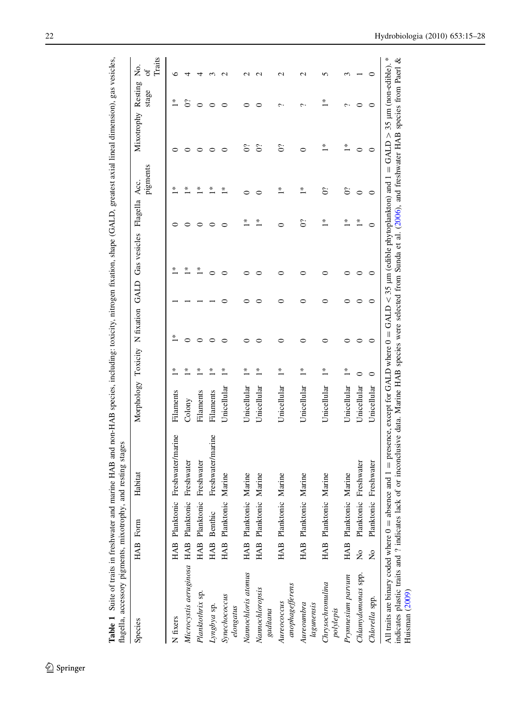| Species                                          |   | HAB Form                  | Habitat                          | Morphology Toxicity N fixation GALD Gas vesicles |                |   |   |   | Flagella Acc. |            | Mixotrophy Resting     |       | Σó          |
|--------------------------------------------------|---|---------------------------|----------------------------------|--------------------------------------------------|----------------|---|---|---|---------------|------------|------------------------|-------|-------------|
|                                                  |   |                           |                                  |                                                  |                |   |   |   |               | pigments   |                        | stage | Traits<br>ð |
| N fixers                                         |   |                           | HAB Planktonic Freshwater/marine | Filaments                                        | ⋇              |   |   | ∗ |               | ⋇          |                        | ₩     | ╰           |
| Microcystis aeruginosa HAB Planktonic Freshwater |   |                           |                                  | Colony                                           | ₩              |   |   | ∗ |               | ⋇          |                        | ်     |             |
| Planktothrix sp.                                 |   | HAB Planktonic Freshwater |                                  | Filaments                                        | ⋇              |   |   | ⋇ |               | ⋇          |                        |       |             |
| $L$ yngbya sp.                                   |   | HAB Benthic               | Freshwater/marine                | Filaments                                        | ₩              |   |   |   |               | ∗          |                        |       |             |
| Synechococcus<br>elongatus                       |   | HAB Planktonic Marine     |                                  | Unicellular                                      | ⋇              |   |   |   |               | ∗          |                        |       |             |
| Nannochloris atomus                              |   | HAB Planktonic Marine     |                                  | Unicellular                                      | ⋇              |   |   |   | ⋇             |            | ε                      |       |             |
| Nannochloropsis<br>gaditana                      |   | HAB Planktonic Marine     |                                  | Unicellular                                      | ₩              |   |   |   | ⋇             |            | $\hat{c}$              |       |             |
| anophagefferens<br>Aureococcus                   |   | HAB Planktonic Marine     |                                  | Unicellular                                      | ∗              |   | ⊂ |   |               | ⋇          | ξ,                     | Ċ     |             |
| Aureoumbra<br>lagunensis                         |   | HAB Planktonic Marine     |                                  | Unicellular                                      | ž              |   | ⊂ |   | δ,            | $\ddot{ }$ | 0                      | پ     |             |
| Chrysochromulina<br>polylepis                    |   | HAB Planktonic Marine     |                                  | Unicellular                                      |                |   |   |   | ⋇             | ે          | $\stackrel{*}{\equiv}$ | ⋇     | r           |
| Prymnesium parvum                                |   | HAB Planktonic Marine     |                                  | Unicellular                                      | $\overline{a}$ |   |   |   | ₩             | S,         | $\stackrel{*}{\equiv}$ |       |             |
| Chlamydomonas spp.                               |   | No Planktonic Freshwater  |                                  | Unicellular                                      |                |   |   |   | ž             | $\circ$    |                        |       |             |
| Chlorella spp.                                   | g | Planktonic Freshwater     |                                  | Unicellular                                      | 0              | ○ | ○ | ∊ | $\circ$       | 0          | $\circ$                | 0     |             |

 $\underline{\textcircled{\tiny 2}}$  Springer

Table 1 Suite of traits in freshwater and marine HAB and non-HAB species, including: toxicity, nitrogen fixation, shape (GALD, greatest axial lineal dimension), gas vesicles,

<span id="page-7-0"></span>Table 1 Suite of traits in freshwater and marine HAB and non-HAB species, including: toxicity, nitrogen fixation, shape (GALD, greatest axial lineal dimension), gas vesicles,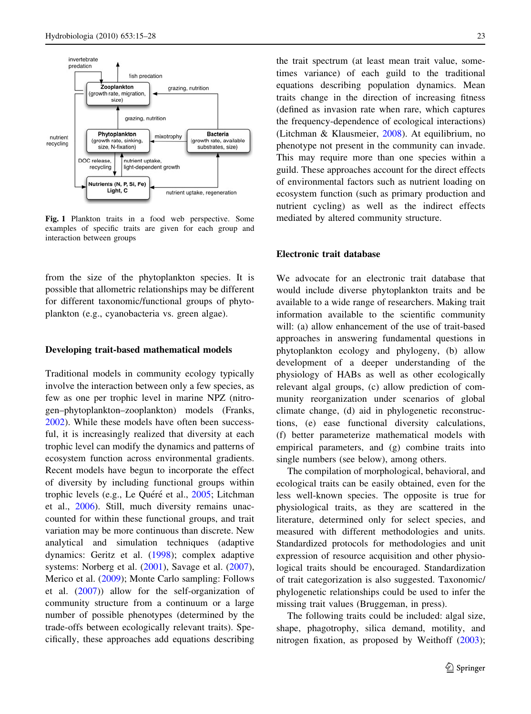<span id="page-8-0"></span>

Fig. 1 Plankton traits in a food web perspective. Some examples of specific traits are given for each group and interaction between groups

from the size of the phytoplankton species. It is possible that allometric relationships may be different for different taxonomic/functional groups of phytoplankton (e.g., cyanobacteria vs. green algae).

#### Developing trait-based mathematical models

Traditional models in community ecology typically involve the interaction between only a few species, as few as one per trophic level in marine NPZ (nitrogen–phytoplankton–zooplankton) models (Franks, [2002\)](#page-10-0). While these models have often been successful, it is increasingly realized that diversity at each trophic level can modify the dynamics and patterns of ecosystem function across environmental gradients. Recent models have begun to incorporate the effect of diversity by including functional groups within trophic levels (e.g., Le Quéré et al., [2005](#page-11-0); Litchman et al., [2006\)](#page-11-0). Still, much diversity remains unaccounted for within these functional groups, and trait variation may be more continuous than discrete. New analytical and simulation techniques (adaptive dynamics: Geritz et al. [\(1998](#page-10-0)); complex adaptive systems: Norberg et al. [\(2001](#page-11-0)), Savage et al. [\(2007](#page-12-0)), Merico et al. ([2009\)](#page-11-0); Monte Carlo sampling: Follows et al. [\(2007](#page-10-0))) allow for the self-organization of community structure from a continuum or a large number of possible phenotypes (determined by the trade-offs between ecologically relevant traits). Specifically, these approaches add equations describing

the trait spectrum (at least mean trait value, sometimes variance) of each guild to the traditional equations describing population dynamics. Mean traits change in the direction of increasing fitness (defined as invasion rate when rare, which captures the frequency-dependence of ecological interactions) (Litchman & Klausmeier, [2008](#page-11-0)). At equilibrium, no phenotype not present in the community can invade. This may require more than one species within a guild. These approaches account for the direct effects of environmental factors such as nutrient loading on ecosystem function (such as primary production and nutrient cycling) as well as the indirect effects mediated by altered community structure.

## Electronic trait database

We advocate for an electronic trait database that would include diverse phytoplankton traits and be available to a wide range of researchers. Making trait information available to the scientific community will: (a) allow enhancement of the use of trait-based approaches in answering fundamental questions in phytoplankton ecology and phylogeny, (b) allow development of a deeper understanding of the physiology of HABs as well as other ecologically relevant algal groups, (c) allow prediction of community reorganization under scenarios of global climate change, (d) aid in phylogenetic reconstructions, (e) ease functional diversity calculations, (f) better parameterize mathematical models with empirical parameters, and (g) combine traits into single numbers (see below), among others.

The compilation of morphological, behavioral, and ecological traits can be easily obtained, even for the less well-known species. The opposite is true for physiological traits, as they are scattered in the literature, determined only for select species, and measured with different methodologies and units. Standardized protocols for methodologies and unit expression of resource acquisition and other physiological traits should be encouraged. Standardization of trait categorization is also suggested. Taxonomic/ phylogenetic relationships could be used to infer the missing trait values (Bruggeman, in press).

The following traits could be included: algal size, shape, phagotrophy, silica demand, motility, and nitrogen fixation, as proposed by Weithoff [\(2003](#page-12-0));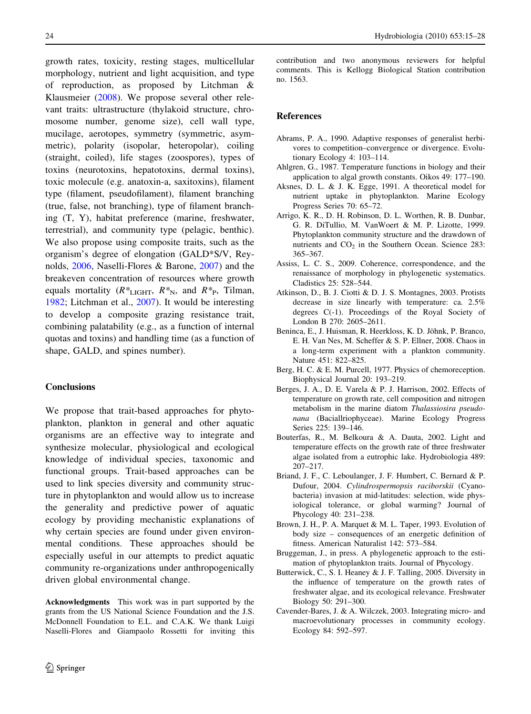<span id="page-9-0"></span>growth rates, toxicity, resting stages, multicellular morphology, nutrient and light acquisition, and type of reproduction, as proposed by Litchman & Klausmeier ([2008\)](#page-11-0). We propose several other relevant traits: ultrastructure (thylakoid structure, chromosome number, genome size), cell wall type, mucilage, aerotopes, symmetry (symmetric, asymmetric), polarity (isopolar, heteropolar), coiling (straight, coiled), life stages (zoospores), types of toxins (neurotoxins, hepatotoxins, dermal toxins), toxic molecule (e.g. anatoxin-a, saxitoxins), filament type (filament, pseudofilament), filament branching (true, false, not branching), type of filament branching (T, Y), habitat preference (marine, freshwater, terrestrial), and community type (pelagic, benthic). We also propose using composite traits, such as the organism's degree of elongation (GALD\*S/V, Reynolds, [2006](#page-12-0), Naselli-Flores & Barone, [2007\)](#page-11-0) and the breakeven concentration of resources where growth equals mortality ( $R^*$ <sub>LIGHT</sub>,  $R^*_{N}$ , and  $R^*_{P}$ , Tilman, [1982;](#page-12-0) Litchman et al., [2007](#page-11-0)). It would be interesting to develop a composite grazing resistance trait, combining palatability (e.g., as a function of internal quotas and toxins) and handling time (as a function of shape, GALD, and spines number).

## **Conclusions**

We propose that trait-based approaches for phytoplankton, plankton in general and other aquatic organisms are an effective way to integrate and synthesize molecular, physiological and ecological knowledge of individual species, taxonomic and functional groups. Trait-based approaches can be used to link species diversity and community structure in phytoplankton and would allow us to increase the generality and predictive power of aquatic ecology by providing mechanistic explanations of why certain species are found under given environmental conditions. These approaches should be especially useful in our attempts to predict aquatic community re-organizations under anthropogenically driven global environmental change.

Acknowledgments This work was in part supported by the grants from the US National Science Foundation and the J.S. McDonnell Foundation to E.L. and C.A.K. We thank Luigi Naselli-Flores and Giampaolo Rossetti for inviting this contribution and two anonymous reviewers for helpful comments. This is Kellogg Biological Station contribution no. 1563.

#### References

- Abrams, P. A., 1990. Adaptive responses of generalist herbivores to competition–convergence or divergence. Evolutionary Ecology 4: 103–114.
- Ahlgren, G., 1987. Temperature functions in biology and their application to algal growth constants. Oikos 49: 177–190.
- Aksnes, D. L. & J. K. Egge, 1991. A theoretical model for nutrient uptake in phytoplankton. Marine Ecology Progress Series 70: 65–72.
- Arrigo, K. R., D. H. Robinson, D. L. Worthen, R. B. Dunbar, G. R. DiTullio, M. VanWoert & M. P. Lizotte, 1999. Phytoplankton community structure and the drawdown of nutrients and  $CO<sub>2</sub>$  in the Southern Ocean. Science 283: 365–367.
- Assiss, L. C. S., 2009. Coherence, correspondence, and the renaissance of morphology in phylogenetic systematics. Cladistics 25: 528–544.
- Atkinson, D., B. J. Ciotti & D. J. S. Montagnes, 2003. Protists decrease in size linearly with temperature: ca. 2.5% degrees C(-1). Proceedings of the Royal Society of London B 270: 2605–2611.
- Beninca, E., J. Huisman, R. Heerkloss, K. D. Jöhnk, P. Branco, E. H. Van Nes, M. Scheffer & S. P. Ellner, 2008. Chaos in a long-term experiment with a plankton community. Nature 451: 822–825.
- Berg, H. C. & E. M. Purcell, 1977. Physics of chemoreception. Biophysical Journal 20: 193–219.
- Berges, J. A., D. E. Varela & P. J. Harrison, 2002. Effects of temperature on growth rate, cell composition and nitrogen metabolism in the marine diatom Thalassiosira pseudonana (Baciallriophyceae). Marine Ecology Progress Series 225: 139–146.
- Bouterfas, R., M. Belkoura & A. Dauta, 2002. Light and temperature effects on the growth rate of three freshwater algae isolated from a eutrophic lake. Hydrobiologia 489: 207–217.
- Briand, J. F., C. Leboulanger, J. F. Humbert, C. Bernard & P. Dufour, 2004. Cylindrospermopsis raciborskii (Cyanobacteria) invasion at mid-latitudes: selection, wide physiological tolerance, or global warming? Journal of Phycology 40: 231–238.
- Brown, J. H., P. A. Marquet & M. L. Taper, 1993. Evolution of body size – consequences of an energetic definition of fitness. American Naturalist 142: 573–584.
- Bruggeman, J., in press. A phylogenetic approach to the estimation of phytoplankton traits. Journal of Phycology.
- Butterwick, C., S. I. Heaney & J. F. Talling, 2005. Diversity in the influence of temperature on the growth rates of freshwater algae, and its ecological relevance. Freshwater Biology 50: 291–300.
- Cavender-Bares, J. & A. Wilczek, 2003. Integrating micro- and macroevolutionary processes in community ecology. Ecology 84: 592–597.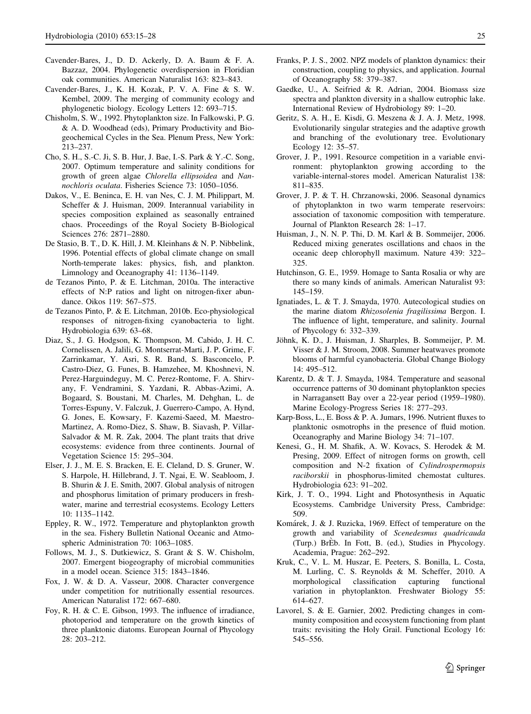- <span id="page-10-0"></span>Cavender-Bares, J., D. D. Ackerly, D. A. Baum & F. A. Bazzaz, 2004. Phylogenetic overdispersion in Floridian oak communities. American Naturalist 163: 823–843.
- Cavender-Bares, J., K. H. Kozak, P. V. A. Fine & S. W. Kembel, 2009. The merging of community ecology and phylogenetic biology. Ecology Letters 12: 693–715.
- Chisholm, S. W., 1992. Phytoplankton size. In Falkowski, P. G. & A. D. Woodhead (eds), Primary Productivity and Biogeochemical Cycles in the Sea. Plenum Press, New York: 213–237.
- Cho, S. H., S.-C. Ji, S. B. Hur, J. Bae, I.-S. Park & Y.-C. Song, 2007. Optimum temperature and salinity conditions for growth of green algae Chlorella ellipsoidea and Nannochloris oculata. Fisheries Science 73: 1050–1056.
- Dakos, V., E. Beninca, E. H. van Nes, C. J. M. Philippart, M. Scheffer & J. Huisman, 2009. Interannual variability in species composition explained as seasonally entrained chaos. Proceedings of the Royal Society B-Biological Sciences 276: 2871–2880.
- De Stasio, B. T., D. K. Hill, J. M. Kleinhans & N. P. Nibbelink, 1996. Potential effects of global climate change on small North-temperate lakes: physics, fish, and plankton. Limnology and Oceanography 41: 1136–1149.
- de Tezanos Pinto, P. & E. Litchman, 2010a. The interactive effects of N:P ratios and light on nitrogen-fixer abundance. Oikos 119: 567–575.
- de Tezanos Pinto, P. & E. Litchman, 2010b. Eco-physiological responses of nitrogen-fixing cyanobacteria to light. Hydrobiologia 639: 63–68.
- Diaz, S., J. G. Hodgson, K. Thompson, M. Cabido, J. H. C. Cornelissen, A. Jalili, G. Montserrat-Marti, J. P. Grime, F. Zarrinkamar, Y. Asri, S. R. Band, S. Basconcelo, P. Castro-Diez, G. Funes, B. Hamzehee, M. Khoshnevi, N. Perez-Harguindeguy, M. C. Perez-Rontome, F. A. Shirvany, F. Vendramini, S. Yazdani, R. Abbas-Azimi, A. Bogaard, S. Boustani, M. Charles, M. Dehghan, L. de Torres-Espuny, V. Falczuk, J. Guerrero-Campo, A. Hynd, G. Jones, E. Kowsary, F. Kazemi-Saeed, M. Maestro-Martinez, A. Romo-Diez, S. Shaw, B. Siavash, P. Villar-Salvador & M. R. Zak, 2004. The plant traits that drive ecosystems: evidence from three continents. Journal of Vegetation Science 15: 295–304.
- Elser, J. J., M. E. S. Bracken, E. E. Cleland, D. S. Gruner, W. S. Harpole, H. Hillebrand, J. T. Ngai, E. W. Seabloom, J. B. Shurin & J. E. Smith, 2007. Global analysis of nitrogen and phosphorus limitation of primary producers in freshwater, marine and terrestrial ecosystems. Ecology Letters 10: 1135–1142.
- Eppley, R. W., 1972. Temperature and phytoplankton growth in the sea. Fishery Bulletin National Oceanic and Atmospheric Administration 70: 1063–1085.
- Follows, M. J., S. Dutkiewicz, S. Grant & S. W. Chisholm, 2007. Emergent biogeography of microbial communities in a model ocean. Science 315: 1843–1846.
- Fox, J. W. & D. A. Vasseur, 2008. Character convergence under competition for nutritionally essential resources. American Naturalist 172: 667–680.
- Foy, R. H. & C. E. Gibson, 1993. The influence of irradiance, photoperiod and temperature on the growth kinetics of three planktonic diatoms. European Journal of Phycology 28: 203–212.
- Franks, P. J. S., 2002. NPZ models of plankton dynamics: their construction, coupling to physics, and application. Journal of Oceanography 58: 379–387.
- Gaedke, U., A. Seifried & R. Adrian, 2004. Biomass size spectra and plankton diversity in a shallow eutrophic lake. International Review of Hydrobiology 89: 1–20.
- Geritz, S. A. H., E. Kisdi, G. Meszena & J. A. J. Metz, 1998. Evolutionarily singular strategies and the adaptive growth and branching of the evolutionary tree. Evolutionary Ecology 12: 35–57.
- Grover, J. P., 1991. Resource competition in a variable environment: phytoplankton growing according to the variable-internal-stores model. American Naturalist 138: 811–835.
- Grover, J. P. & T. H. Chrzanowski, 2006. Seasonal dynamics of phytoplankton in two warm temperate reservoirs: association of taxonomic composition with temperature. Journal of Plankton Research 28: 1–17.
- Huisman, J., N. N. P. Thi, D. M. Karl & B. Sommeijer, 2006. Reduced mixing generates oscillations and chaos in the oceanic deep chlorophyll maximum. Nature 439: 322– 325.
- Hutchinson, G. E., 1959. Homage to Santa Rosalia or why are there so many kinds of animals. American Naturalist 93: 145–159.
- Ignatiades, L. & T. J. Smayda, 1970. Autecological studies on the marine diatom Rhizosolenia fragilissima Bergon. I. The influence of light, temperature, and salinity. Journal of Phycology 6: 332–339.
- Jöhnk, K. D., J. Huisman, J. Sharples, B. Sommeijer, P. M. Visser & J. M. Stroom, 2008. Summer heatwaves promote blooms of harmful cyanobacteria. Global Change Biology 14: 495–512.
- Karentz, D. & T. J. Smayda, 1984. Temperature and seasonal occurrence patterns of 30 dominant phytoplankton species in Narragansett Bay over a 22-year period (1959–1980). Marine Ecology-Progress Series 18: 277–293.
- Karp-Boss, L., E. Boss & P. A. Jumars, 1996. Nutrient fluxes to planktonic osmotrophs in the presence of fluid motion. Oceanography and Marine Biology 34: 71–107.
- Kenesi, G., H. M. Shafik, A. W. Kovacs, S. Herodek & M. Presing, 2009. Effect of nitrogen forms on growth, cell composition and N-2 fixation of Cylindrospermopsis raciborskii in phosphorus-limited chemostat cultures. Hydrobiologia 623: 91–202.
- Kirk, J. T. O., 1994. Light and Photosynthesis in Aquatic Ecosystems. Cambridge University Press, Cambridge: 509.
- Komárek, J. & J. Ruzicka, 1969. Effect of temperature on the growth and variability of Scenedesmus quadricauda (Turp.) BrÈb. In Fott, B. (ed.), Studies in Phycology. Academia, Prague: 262–292.
- Kruk, C., V. L. M. Huszar, E. Peeters, S. Bonilla, L. Costa, M. Lurling, C. S. Reynolds & M. Scheffer, 2010. A morphological classification capturing functional variation in phytoplankton. Freshwater Biology 55: 614–627.
- Lavorel, S. & E. Garnier, 2002. Predicting changes in community composition and ecosystem functioning from plant traits: revisiting the Holy Grail. Functional Ecology 16: 545–556.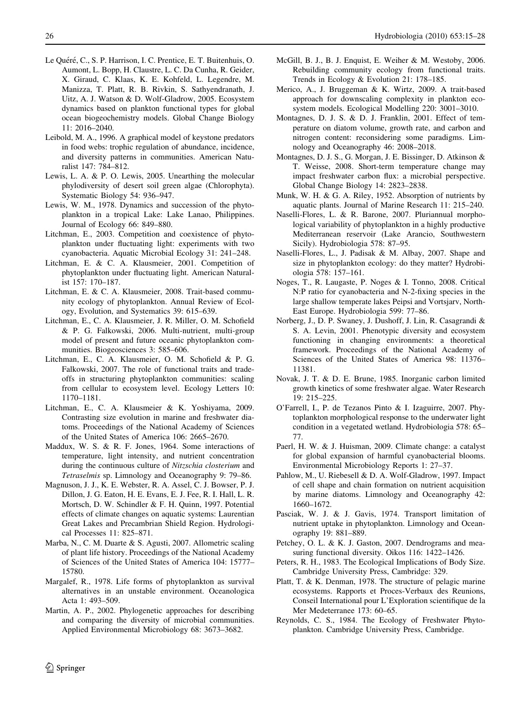- <span id="page-11-0"></span>Le Quéré, C., S. P. Harrison, I. C. Prentice, E. T. Buitenhuis, O. Aumont, L. Bopp, H. Claustre, L. C. Da Cunha, R. Geider, X. Giraud, C. Klaas, K. E. Kohfeld, L. Legendre, M. Manizza, T. Platt, R. B. Rivkin, S. Sathyendranath, J. Uitz, A. J. Watson & D. Wolf-Gladrow, 2005. Ecosystem dynamics based on plankton functional types for global ocean biogeochemistry models. Global Change Biology 11: 2016–2040.
- Leibold, M. A., 1996. A graphical model of keystone predators in food webs: trophic regulation of abundance, incidence, and diversity patterns in communities. American Naturalist 147: 784–812.
- Lewis, L. A. & P. O. Lewis, 2005. Unearthing the molecular phylodiversity of desert soil green algae (Chlorophyta). Systematic Biology 54: 936–947.
- Lewis, W. M., 1978. Dynamics and succession of the phytoplankton in a tropical Lake: Lake Lanao, Philippines. Journal of Ecology 66: 849–880.
- Litchman, E., 2003. Competition and coexistence of phytoplankton under fluctuating light: experiments with two cyanobacteria. Aquatic Microbial Ecology 31: 241–248.
- Litchman, E. & C. A. Klausmeier, 2001. Competition of phytoplankton under fluctuating light. American Naturalist 157: 170–187.
- Litchman, E. & C. A. Klausmeier, 2008. Trait-based community ecology of phytoplankton. Annual Review of Ecology, Evolution, and Systematics 39: 615–639.
- Litchman, E., C. A. Klausmeier, J. R. Miller, O. M. Schofield & P. G. Falkowski, 2006. Multi-nutrient, multi-group model of present and future oceanic phytoplankton communities. Biogeosciences 3: 585–606.
- Litchman, E., C. A. Klausmeier, O. M. Schofield & P. G. Falkowski, 2007. The role of functional traits and tradeoffs in structuring phytoplankton communities: scaling from cellular to ecosystem level. Ecology Letters 10: 1170–1181.
- Litchman, E., C. A. Klausmeier & K. Yoshiyama, 2009. Contrasting size evolution in marine and freshwater diatoms. Proceedings of the National Academy of Sciences of the United States of America 106: 2665–2670.
- Maddux, W. S. & R. F. Jones, 1964. Some interactions of temperature, light intensity, and nutrient concentration during the continuous culture of Nitzschia closterium and Tetraselmis sp. Limnology and Oceanography 9: 79–86.
- Magnuson, J. J., K. E. Webster, R. A. Assel, C. J. Bowser, P. J. Dillon, J. G. Eaton, H. E. Evans, E. J. Fee, R. I. Hall, L. R. Mortsch, D. W. Schindler & F. H. Quinn, 1997. Potential effects of climate changes on aquatic systems: Laurentian Great Lakes and Precambrian Shield Region. Hydrological Processes 11: 825–871.
- Marba, N., C. M. Duarte & S. Agusti, 2007. Allometric scaling of plant life history. Proceedings of the National Academy of Sciences of the United States of America 104: 15777– 15780.
- Margalef, R., 1978. Life forms of phytoplankton as survival alternatives in an unstable environment. Oceanologica Acta 1: 493–509.
- Martin, A. P., 2002. Phylogenetic approaches for describing and comparing the diversity of microbial communities. Applied Environmental Microbiology 68: 3673–3682.
- McGill, B. J., B. J. Enquist, E. Weiher & M. Westoby, 2006. Rebuilding community ecology from functional traits. Trends in Ecology & Evolution 21: 178–185.
- Merico, A., J. Bruggeman & K. Wirtz, 2009. A trait-based approach for downscaling complexity in plankton ecosystem models. Ecological Modelling 220: 3001–3010.
- Montagnes, D. J. S. & D. J. Franklin, 2001. Effect of temperature on diatom volume, growth rate, and carbon and nitrogen content: reconsidering some paradigms. Limnology and Oceanography 46: 2008–2018.
- Montagnes, D. J. S., G. Morgan, J. E. Bissinger, D. Atkinson & T. Weisse, 2008. Short-term temperature change may impact freshwater carbon flux: a microbial perspective. Global Change Biology 14: 2823–2838.
- Munk, W. H. & G. A. Riley, 1952. Absorption of nutrients by aquatic plants. Journal of Marine Research 11: 215–240.
- Naselli-Flores, L. & R. Barone, 2007. Pluriannual morphological variability of phytoplankton in a highly productive Mediterranean reservoir (Lake Arancio, Southwestern Sicily). Hydrobiologia 578: 87–95.
- Naselli-Flores, L., J. Padisak & M. Albay, 2007. Shape and size in phytoplankton ecology: do they matter? Hydrobiologia 578: 157–161.
- Noges, T., R. Laugaste, P. Noges & I. Tonno, 2008. Critical N:P ratio for cyanobacteria and N-2-fixing species in the large shallow temperate lakes Peipsi and Vortsjarv, North-East Europe. Hydrobiologia 599: 77–86.
- Norberg, J., D. P. Swaney, J. Dushoff, J. Lin, R. Casagrandi & S. A. Levin, 2001. Phenotypic diversity and ecosystem functioning in changing environments: a theoretical framework. Proceedings of the National Academy of Sciences of the United States of America 98: 11376– 11381.
- Novak, J. T. & D. E. Brune, 1985. Inorganic carbon limited growth kinetics of some freshwater algae. Water Research 19: 215–225.
- O'Farrell, I., P. de Tezanos Pinto & I. Izaguirre, 2007. Phytoplankton morphological response to the underwater light condition in a vegetated wetland. Hydrobiologia 578: 65– 77.
- Paerl, H. W. & J. Huisman, 2009. Climate change: a catalyst for global expansion of harmful cyanobacterial blooms. Environmental Microbiology Reports 1: 27–37.
- Pahlow, M., U. Riebesell & D. A. Wolf-Gladrow, 1997. Impact of cell shape and chain formation on nutrient acquisition by marine diatoms. Limnology and Oceanography 42: 1660–1672.
- Pasciak, W. J. & J. Gavis, 1974. Transport limitation of nutrient uptake in phytoplankton. Limnology and Oceanography 19: 881–889.
- Petchey, O. L. & K. J. Gaston, 2007. Dendrograms and measuring functional diversity. Oikos 116: 1422–1426.
- Peters, R. H., 1983. The Ecological Implications of Body Size. Cambridge University Press, Cambridge: 329.
- Platt, T. & K. Denman, 1978. The structure of pelagic marine ecosystems. Rapports et Proces-Verbaux des Reunions, Conseil International pour L'Exploration scientifique de la Mer Medeterranee 173: 60–65.
- Reynolds, C. S., 1984. The Ecology of Freshwater Phytoplankton. Cambridge University Press, Cambridge.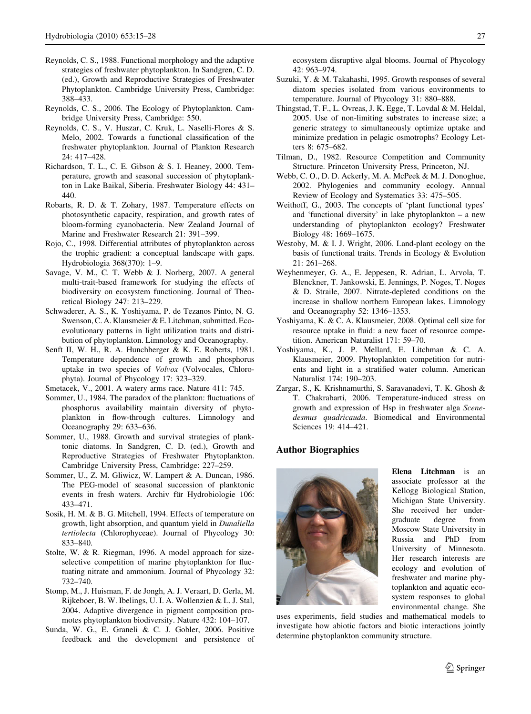- <span id="page-12-0"></span>Reynolds, C. S., 1988. Functional morphology and the adaptive strategies of freshwater phytoplankton. In Sandgren, C. D. (ed.), Growth and Reproductive Strategies of Freshwater Phytoplankton. Cambridge University Press, Cambridge: 388–433.
- Reynolds, C. S., 2006. The Ecology of Phytoplankton. Cambridge University Press, Cambridge: 550.
- Reynolds, C. S., V. Huszar, C. Kruk, L. Naselli-Flores & S. Melo, 2002. Towards a functional classification of the freshwater phytoplankton. Journal of Plankton Research 24: 417–428.
- Richardson, T. L., C. E. Gibson & S. I. Heaney, 2000. Temperature, growth and seasonal succession of phytoplankton in Lake Baikal, Siberia. Freshwater Biology 44: 431– 440.
- Robarts, R. D. & T. Zohary, 1987. Temperature effects on photosynthetic capacity, respiration, and growth rates of bloom-forming cyanobacteria. New Zealand Journal of Marine and Freshwater Research 21: 391–399.
- Rojo, C., 1998. Differential attributes of phytoplankton across the trophic gradient: a conceptual landscape with gaps. Hydrobiologia 368(370): 1–9.
- Savage, V. M., C. T. Webb & J. Norberg, 2007. A general multi-trait-based framework for studying the effects of biodiversity on ecosystem functioning. Journal of Theoretical Biology 247: 213–229.
- Schwaderer, A. S., K. Yoshiyama, P. de Tezanos Pinto, N. G. Swenson, C. A. Klausmeier & E. Litchman, submitted. Ecoevolutionary patterns in light utilization traits and distribution of phytoplankton. Limnology and Oceanography.
- Senft II, W. H., R. A. Hunchberger & K. E. Roberts, 1981. Temperature dependence of growth and phosphorus uptake in two species of Volvox (Volvocales, Chlorophyta). Journal of Phycology 17: 323–329.
- Smetacek, V., 2001. A watery arms race. Nature 411: 745.
- Sommer, U., 1984. The paradox of the plankton: fluctuations of phosphorus availability maintain diversity of phytoplankton in flow-through cultures. Limnology and Oceanography 29: 633–636.
- Sommer, U., 1988. Growth and survival strategies of planktonic diatoms. In Sandgren, C. D. (ed.), Growth and Reproductive Strategies of Freshwater Phytoplankton. Cambridge University Press, Cambridge: 227–259.
- Sommer, U., Z. M. Gliwicz, W. Lampert & A. Duncan, 1986. The PEG-model of seasonal succession of planktonic events in fresh waters. Archiv für Hydrobiologie 106: 433–471.
- Sosik, H. M. & B. G. Mitchell, 1994. Effects of temperature on growth, light absorption, and quantum yield in Dunaliella tertiolecta (Chlorophyceae). Journal of Phycology 30: 833–840.
- Stolte, W. & R. Riegman, 1996. A model approach for sizeselective competition of marine phytoplankton for fluctuating nitrate and ammonium. Journal of Phycology 32: 732–740.
- Stomp, M., J. Huisman, F. de Jongh, A. J. Veraart, D. Gerla, M. Rijkeboer, B. W. Ibelings, U. I. A. Wollenzien & L. J. Stal, 2004. Adaptive divergence in pigment composition promotes phytoplankton biodiversity. Nature 432: 104–107.
- Sunda, W. G., E. Graneli & C. J. Gobler, 2006. Positive feedback and the development and persistence of

ecosystem disruptive algal blooms. Journal of Phycology 42: 963–974.

- Suzuki, Y. & M. Takahashi, 1995. Growth responses of several diatom species isolated from various environments to temperature. Journal of Phycology 31: 880–888.
- Thingstad, T. F., L. Ovreas, J. K. Egge, T. Lovdal & M. Heldal, 2005. Use of non-limiting substrates to increase size; a generic strategy to simultaneously optimize uptake and minimize predation in pelagic osmotrophs? Ecology Letters 8: 675–682.
- Tilman, D., 1982. Resource Competition and Community Structure. Princeton University Press, Princeton, NJ.
- Webb, C. O., D. D. Ackerly, M. A. McPeek & M. J. Donoghue, 2002. Phylogenies and community ecology. Annual Review of Ecology and Systematics 33: 475–505.
- Weithoff, G., 2003. The concepts of 'plant functional types' and 'functional diversity' in lake phytoplankton – a new understanding of phytoplankton ecology? Freshwater Biology 48: 1669–1675.
- Westoby, M. & I. J. Wright, 2006. Land-plant ecology on the basis of functional traits. Trends in Ecology & Evolution 21: 261–268.
- Weyhenmeyer, G. A., E. Jeppesen, R. Adrian, L. Arvola, T. Blenckner, T. Jankowski, E. Jennings, P. Noges, T. Noges & D. Straile, 2007. Nitrate-depleted conditions on the increase in shallow northern European lakes. Limnology and Oceanography 52: 1346–1353.
- Yoshiyama, K. & C. A. Klausmeier, 2008. Optimal cell size for resource uptake in fluid: a new facet of resource competition. American Naturalist 171: 59–70.
- Yoshiyama, K., J. P. Mellard, E. Litchman & C. A. Klausmeier, 2009. Phytoplankton competition for nutrients and light in a stratified water column. American Naturalist 174: 190–203.
- Zargar, S., K. Krishnamurthi, S. Saravanadevi, T. K. Ghosh & T. Chakrabarti, 2006. Temperature-induced stress on growth and expression of Hsp in freshwater alga Scenedesmus quadricauda. Biomedical and Environmental Sciences 19: 414–421.

# Author Biographies



Elena Litchman is an associate professor at the Kellogg Biological Station, Michigan State University. She received her undergraduate degree from Moscow State University in Russia and PhD from University of Minnesota. Her research interests are ecology and evolution of freshwater and marine phytoplankton and aquatic ecosystem responses to global environmental change. She

uses experiments, field studies and mathematical models to investigate how abiotic factors and biotic interactions jointly determine phytoplankton community structure.